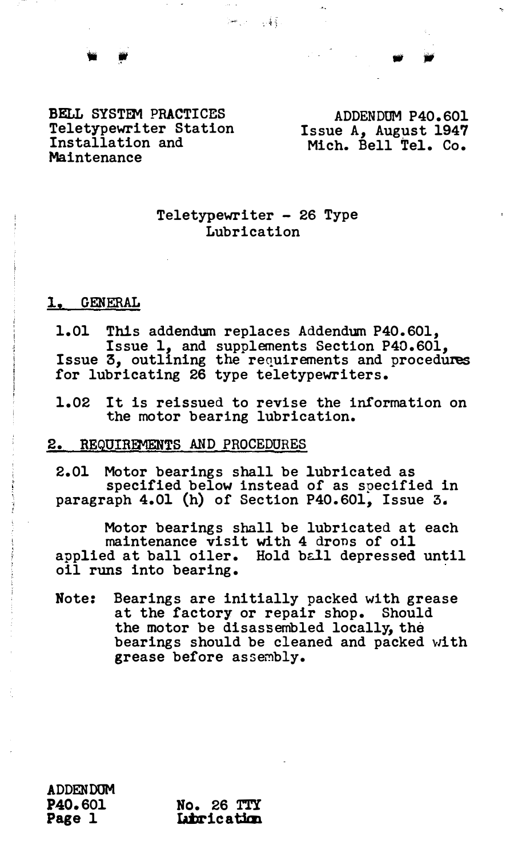BELL SYSTEM PRACTICES Teletypewriter Station Installation and **Maintenance** 

ADDENDUM P40.601 Issue A, August 1947 Mich. Bell Tel. Co.

#### Teletypewriter - 26 Type Lubrication

 $\mathbb{R}^n$  ,  $\mathbb{R}^n \rightarrow \mathbb{R}$  ,  $\mathbb{R}^n$  ,  $\mathbb{R}^n$ 

#### l, GENERAL

1.01 This addendum replaces Addendum P40.60l, Issue 1, and supplements Section P40.60l , Issue 3, outlining the requirements and procedures for lubricating 26 type teletypewriters.

1.02 It is reissued to revise the information on the motor bearing lubrication.

#### 2. REQUIREMENTS AND PROCEDURES

2.01 Motor bearings shall be lubricated as specified below instead of as specified in paragraph 4.01 (h) of Section P40.601. Issue 3.

Motor bearings shall be lubricated at each maintenance visit with 4 drons of oil applied at ball oiler. Hold ball depressed until oil runs into bearing.

Note: Bearings are initially packed with grease at the factory or repair shop. Should the motor be disassembled locally, the bearings should be cleaned and packed with grease before assembly.

ADDENDUM P40.60l Page l

No. 26 TTY Lubrication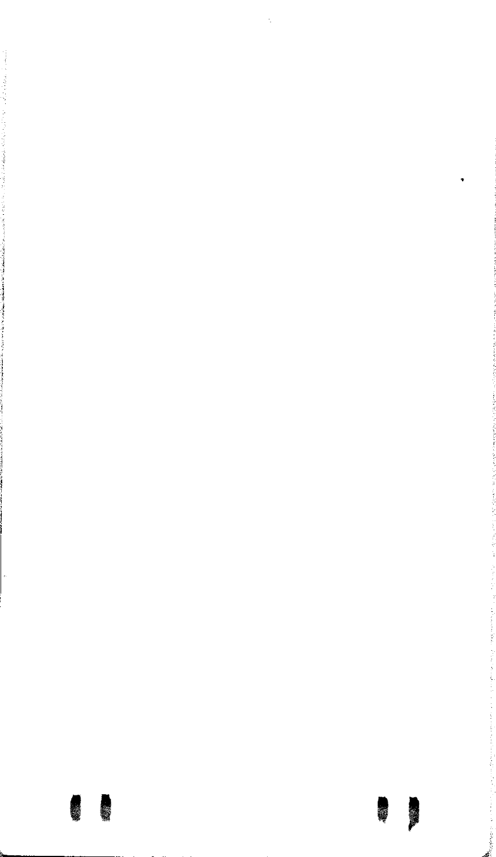こましょう きゅうきょう きょうしょう かいしょう しゅうしょう こうしゅう しゅうしょう こうしん かいしょう あいしゅう かんこう **Beaumont** 

化自动电压 网络阿拉伯 医心包的 医阿拉伯氏综合征 医皮肤病 医阿拉伯氏征 医阿拉伯氏综合征 医血管切除术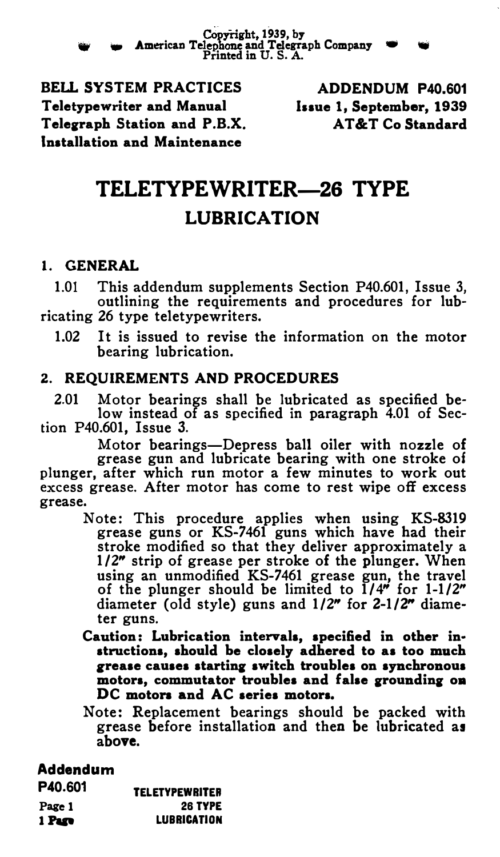BELL SYSTEM PRACTICES Teletypewriter and Manual Telegraph Station and P.B.X. Installation and Maintenance

ADDENDUM P40.601 hsue 1, September, 1939 AT&T Co Standard

## TELETYPEWRITER-26 TYPE LUBRICATION

#### 1. GENERAL

1.01 This addendum supplements Section P40.601, Issue 3, outlining the requirements and procedures for lubricating 26 type teletypewriters.

1.02 It is issued to revise the information on the motor bearing lubrication.

#### 2. REQUIREMENTS AND PROCEDURES

2.01 Motor bearings shall be lubricated as specified below instead of as specified in paragraph 4.01 of Section P40.601, Issue 3.

Motor bearings-Depress ball oiler with nozzle of grease gun and lubricate bearing with one stroke of plunger, after which run motor a few minutes to work out excess grease. After motor has come to rest wipe off excess grease.

- Note: This procedure applies when using KS-8319 grease guns or KS-7461 guns which have had their stroke modified so that they deliver approximately a 1/2" strip of grease per stroke of the plunger. When using an unmodified KS-7461 grease gun, the travel of the plunger should be limited to  $1/4^{\prime\prime}$  for  $1-1/2^{\prime\prime}$ diameter (old style) guns and 1/2" for 2-1/2" diameter guns.
- Caution: Lubrication intervals, specified in other in· atructions, should be closely adhered to as too much grease causes starting switch troubles on synchronous motors, commutator troubles and false grounding oa DC motors and AC series motors.

Note: Replacement bearings should be packed with grease before installation and then be lubricated as above.

#### Addendum

| P40.601 | <b>TELETYPEWRITER</b> |
|---------|-----------------------|
| Page 1  | <b>26 TYPE</b>        |
| 1 Pan   | LUBRICATION           |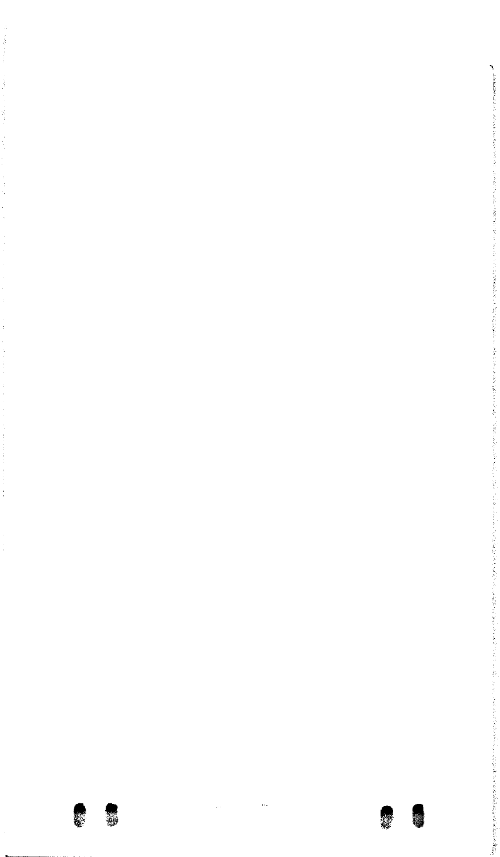**RESIDENCE** 

 $\bar{\alpha}$ 

**A** 

 $\bullet$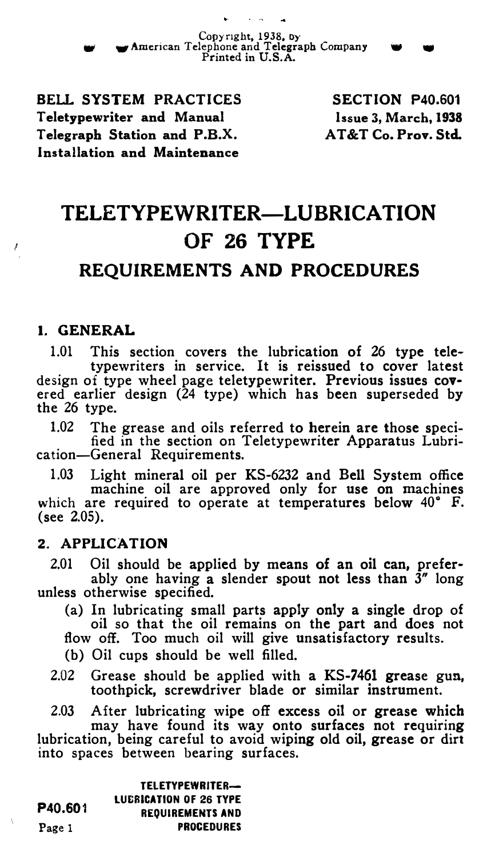BELL SYSTEM PRACTICES Teletypewriter and Manual Telegraph Station and P.B.X. Installation and Maintenance

SECTION P40.601 Issue 3, March, 1938 AT&T Co. Prov. Std.

# TELETYPEWRITER-LUBRICATION OF 26 TYPE

### REQUIREMENTS AND PROCEDURES

#### I. GENERAL

f

 $\chi$ 

1.01 This section covers the lubrication of 26 type teletypewriters in service. It is reissued to cover latest design of type wheel page teletypewriter. Previous issues covered earlier design (24 type) which has been superseded by the 26 type.

1.02 The grease and oils referred to herein are those specified in the section on Teletypewriter Apparatus Lubri-

cation-General Requirements.

1.03 Light mineral oil per KS-6232 and Bell System office machine oil are approved only for use on machines which are required to operate at temperatures below 40• F. (see 2.05).

#### 2. APPLICATION

2.01 Oil should be applied by means of an oil can, preferably one having a slender spout not less than 3" long unless otherwise specified.

(a) In lubricating small parts apply only a single drop of oil so that the oil remains on the part and does not

flow off. Too much oil will give unsatisfactory results.

(b) Oil cups should be well filled.

2.02 Grease should be applied with a KS-7461 grease gun, toothpick, screwdriver blade or similar instrument.

2.03 After lubricating wipe off excess oil or grease which may have found its way onto surfaces not requiring lubrication, being careful to avoid wiping old oil, grease or dirt into spaces between bearing surfaces.

|         | TELETYPEWRITER-               |
|---------|-------------------------------|
| P40.601 | <b>LUERICATION OF 26 TYPE</b> |
|         | <b>REQUIREMENTS AND</b>       |
| Page 1  | <b>PROCEDURES</b>             |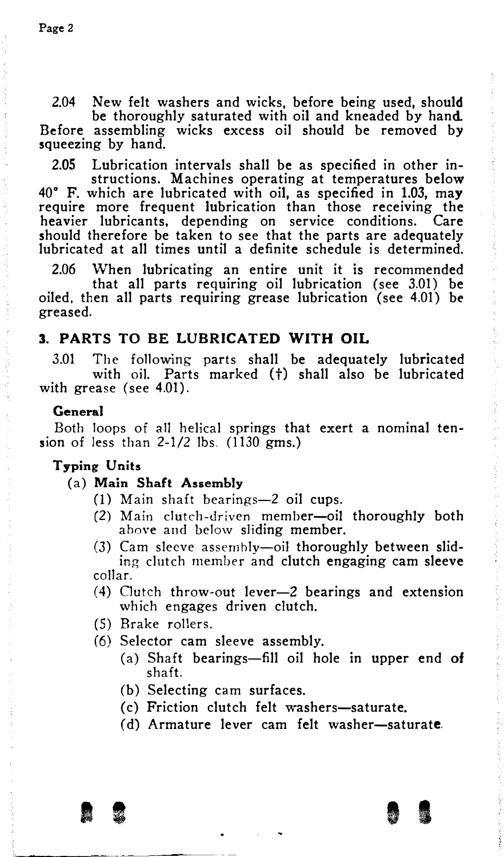2.04 New felt washers and wicks, before being used, should be thoroughly saturated with oil and kneaded by hand Before assembling wicks excess oil should be removed by

squeezing by hand.

2.05 Lubrication intervals shall be as specified in other in-

structions. Machines operating at temperatures below 40• F. which are lubricated with oil, as specified in 1.03, may require more frequent lubrication than those receiving the heavier lubricants, depending on service conditions. Care should therefore be taken to see that the parts are adequately lubricated at all times until a definite schedule is determined.

2.06 When lubricating an entire unit it is recommended that all parts requiring oil lubrication (see 3.01) be oiled, then all parts requiring grease lubrication (see 4.01) be greased.

#### 3. PARTS TO BE LUBRICATED WITH OIL

3.01 The following parts shall be adequately lubricated with oil. Parts marked (†) shall also be lubricated with grease (see 4.01).

#### General

Both loops of all helical springs that exert a nominal tension of less than  $2-1/2$  lbs. (1130 gms.)

#### Typing Units

#### (a) Main Shaft Assembly

- (1) Main shaft bearings-2 oil cups.
- (2) Main clutch-driven member-oil thoroughly both above and below sliding member.
- $(3)$  Cam sleeve assembly-oil thoroughly between sliding clutch member and clutch engaging cam sleeve collar.
- (4) Clutch throw-out lever-2 bearings and extension which engages driven clutch.
- (5) Brake rollers.
- (6) Selector cam sleeve assembly.
	- (a) Shaft bearings-fill oil hole in upper end of shaft.
	- (b) Selecting cam surfaces.
	- (c) Friction clutch felt washers-saturate.

a a se estado de seu alterador de seu alterador de seu alterador de seu alterador de seu alterador de seu alte

(d) Armature lever cam felt washer-saturate.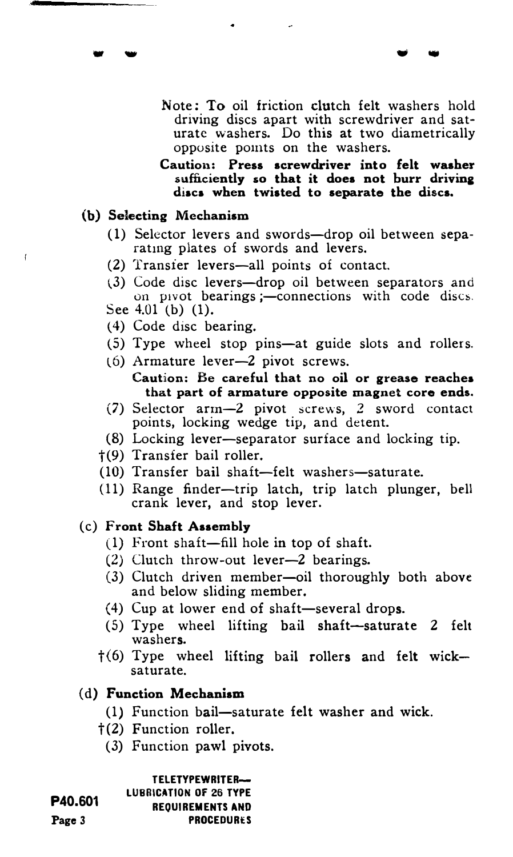- Note; To oil friction clutch felt washers hold driving discs apart with screwdriver and saturate washers. Do this at two diametrically opposite pomts on the washers.
- Caution: Press screwdriver into felt washer sufficiently so that it does not burr driving diaca when twiated to separate the discs.

#### (b) Selecting Mechanism

 $\mathbf{I}$ 

- $(1)$  Selector levers and swords-drop oil between separatmg plates of swords and levers.
- (2) Transier levers-all points of contact.
- �3) Code disc levers-drop oil between separators and on pivot bearings ;- connections with code discs. See  $4.01$  (b) (1).
- (4) Code disc bearing.
- (5) Type wheel stop pins-at guide slots and rollers.
- �6) Armature lever-2 pivot screws. Caution: Be careful that no oil or grease reachea that part of armature opposite magnet core ends.
- (7) Selector arrn-2 pivot screws, 2 sword contact points, locking wedge tip, and detent.
- (8) Locking lever-separator surface and locking tip.
- $(9)$  Transfer bail roller.
- (10) Transfer bail shaft-felt washers-saturate.
- (11) Range finder-trip latch, trip latch plunger, bell crank lever, and stop lever.

#### (c) Front Shaft Assembly

- (1) Front shaft-fill hole in top of shaft.
- (2) Clutch throw-out lever-2 bearings.
- (3) Clutch driven member-oil thoroughly both above and below sliding member.
- (4) Cup at lower end of shaft-several drops.
- (5) Type wheel lifting bail shaft-saturate 2 felt washers.
- $\dagger$ (6) Type wheel lifting bail rollers and felt wicksaturate.

#### (d) Function Mechanism

- (1) Function bail-saturate felt washer and wick.
- t(2) Function roller.
	- (3) Function pawl pivots.

P40.601 Page 3 TELETYPEWRITER-LUBRICATION Of 26 TYPE REQUIREMENTS AND **PROCEDURES**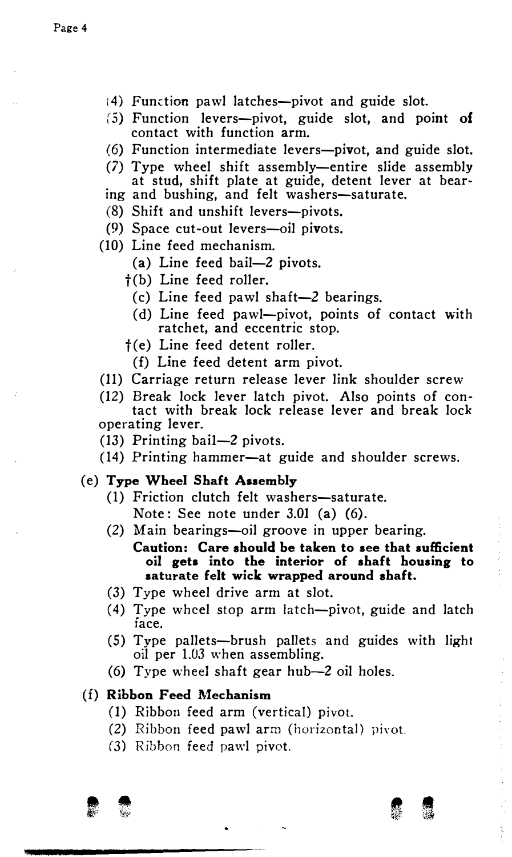- 14) Function pawl latches-pivot and guide slot.
- [5) Function levers-pivot, guide slot, and point of contact with function arm.
- (6) Function intermediate levers-pivot, and guide slot.
- (7) Type wheel shift assembly-entire slide assembly at stud, shift plate at guide, detent lever at bear-
- ing and bushing, and felt washers-saturate.
- (8) Shift and unshift levers-pivots.
- (9) Space cut-out levers-oil pivots.
- (10) Line feed mechanism.
	- (a) Line feed bail-2 pivots.
	- t(b) Line feed roller.
		- (c) Line feed pawl shaft-2 bearings.
		- (d) Line feed pawl-pivot, points of contact with ratchet, and eccentric stop.
	- t(e) Line feed detent roller.
		- (f) Line feed detent arm pivot.
- (11) Carriage return release lever link shoulder screw
- (12) Break lock lever latch pivot. Also points of contact with break lock release lever and break lock operating lever.
- (13) Printing bail-2 pivots.
- (14) Printing hammer-at guide and shoulder screws.
- (e) Type Wheel Shaft Assembly
	- (1) Friction clutch felt washers-saturate. Note: See note under 3.01 (a) (6).
	- (2) Main bearings-oil groove in upper bearing.
		- Caution: Care should be taken to see that sufficient oil gets into the interior of shaft housing to saturate felt wick wrapped around shaft.
	- (3) Type wheel drive arm at slot.
	- (4) Type wheel stop arm latch-pivot, guide and latch face.
	- (5) Type pallets-brush pallets and guides with light oil per 1.03 when assembling.
	- (6) Type wheel shaft gear hub-2 oil holes.

#### (f) Ribbon Feed Mechanism

- (1) Ribbon feed arm (vertical) pivot.
- $(2)$  Ribbon feed pawl arm (horizontal) pivot.
- (3) Ribbon feed pawl pivot.



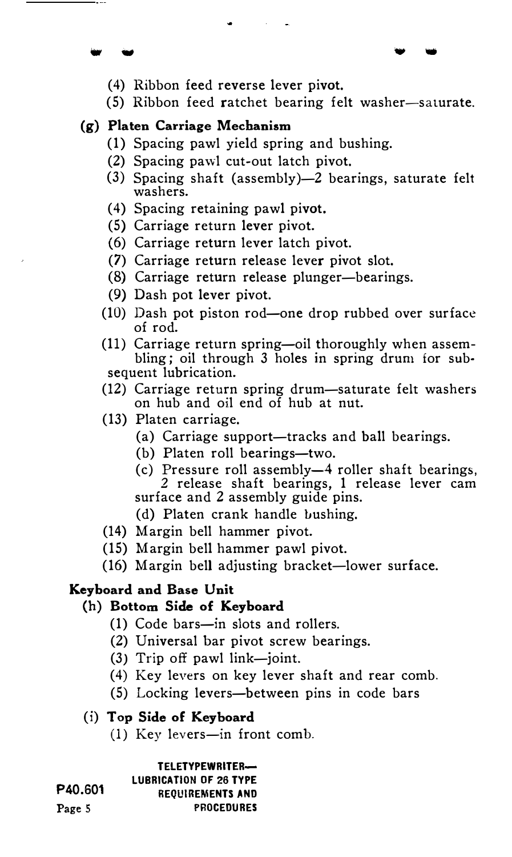- (4) Ribbon feed reverse lever pivot.
- (5) Ribbon feed ratchet bearing felt washer-saturate.

#### (g) Platen Carriage Mechanism

- (1) Spacing pawl yield spring and bushing.
- (2) Spacing pawl cut-out latch pivot.
- (3) Spacing shaft (assembly)-2 bearings, saturate felt washers.
- (4) Spacing retaining pawl pivot.
- (5) Carriage return lever pivot.
- (6) Carriage return lever latch pivot.
- (7) Carriage return release lever pivot slot.
- (8) Carriage return release plunger-bearings.
- (9) Dash pot lever pivot.
- (10) Dash pot piston rod-one drop rubbed over surface of rod.
- (11) Carriage return spring-oil thoroughly when assembling; oil through 3 holes in spring drum for subsequent lubrication.
- (12) Carriage return spring drum-saturate felt washers on hub and oil end of hub at nut.
- (13) Platen carriage.
	- (a) Carriage support-tracks and ball bearings.
	- (b) Platen roll bearings-two.
	- (c) Pressure roll assembly-4 roller shaft bearings, 2 release shaft bearings, 1 release lever cam surface and 2 assembly guide pins.

(d) Platen crank handle bushing.

- (14) Margin bell hammer pivot.
- (15) Margin bell hammer pawl pivot.
- (16) Margin bell adjusting bracket-lower surface.

#### Keyboard and Base Unit

#### (h) Bottom Side of Keyboard

- (1) Code bars-in slots and rollers.
- (2) Universal bar pivot screw bearings.
- (3) Trip off pawl link-joint.
- (4) Key levers on key lever shaft and rear comb.
- (5) Locking levers-between pins in code bars

#### (i) Top Side of Keyboard

(1) Key levers-in front comb.

P40.601 Page 5 TELETYPEWRITER-LUBRICATION OF 26 TYPE REQUIREMENTS AND PROCEDURES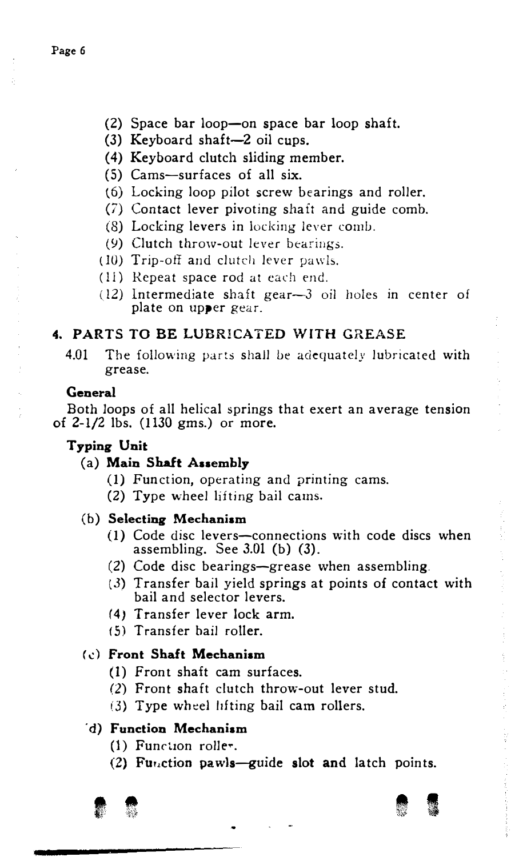- (2) Space bar loop-on space bar loop shaft.
- (3) Keyboard shaft-2 oil cups.
- (4) Keyboard clutch sliding member.
- (5) Cams-surfaces of all six.
- (6) Locking loop pilot screw bearings and roller.
- (7) Contact lever pivoting shaft and guide comb.
- (8) Locking levers in locking lever comb.
- (Y) Clutch throw-out lever bearings.
- (10) Trip-off and clutch lever pawls.
- (II) Repeat space rod at each end.
- (12) Intermediate shaft gear-3 oil holes in center of plate on upper gear.

#### 4. PARTS TO BE LUBRICATED WITH GREASE

4.01 The following parts shall be adequately lubricated with grease.

#### General

Both loops of all helical springs that exert an average tension of 2-1/2 lbs. (1130 gms.) or more.

#### Typing Unit

#### (a) Main Shaft Assembly

- (1) Function, operating and printing cams.
- (2) Type wheel lifting bail cams.

#### (b) Selecting Mechanism

- (1) Code disc levers-connections with code discs when assembling. See 3.01 (b) (3).
- (2) Code disc bearings-grease when assembling.
- (3) Transfer bail yield springs at points of contact with bail and selector levers.
- (4) Transfer lever lock arm.
- (5) Transfer bail roller.

#### (.:) Front Shaft Mechanism

- (1) Front shaft cam surfaces.
- (2) Front shaft clutch throw-out lever stud.
- (3) Type wh eel lifting bail cam rollers.

#### ·d) Function Mechanism

- (1) Function roller.
- (2) Fur,ction pawls-guide slot and latch points.



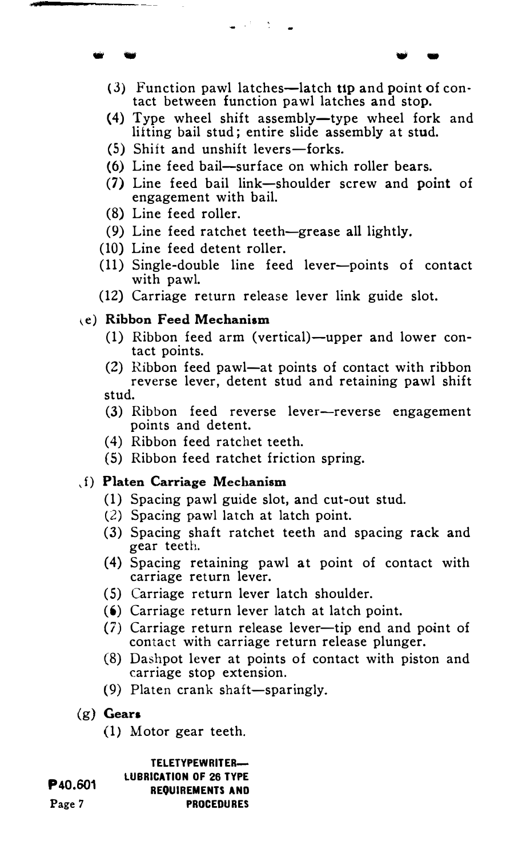- $(3)$  Function pawl latches—latch tip and point of contact between function pawl latches and stop.
- (4) Type wheel shift assembly-type wheel fork and lifting bail stud; entire slide assembly at stud.
- (5) Shift and unshift levers-forks.
- (6) Line feed bail-surface on which roller bears.

- - - -

ن المعاشر ال

- (7) Line feed bail link-shoulder screw and point of engagement with bail.
- (8) Line feed roller.
- (9) Line feed ratchet teeth-grease all lightly.
- (10) Line feed detent roller.
- (11) Single-double line feed lever-points of contact with pawl.
- (12) Carriage return release lever link guide slot.

#### \C) Ribbon Feed Mechanism

- (1) Ribbon feed arm (vertical)-upper and lower contact points.
- (2) Ribbon feed pawl-at points of contact with ribbon reverse lever, detent stud and retaining pawl shift stud.
- (3) Ribbon feed reverse lever-reverse engagement points and detent.
- (4) Ribbon feed ratchet teeth.
- (5) Ribbon feed ratchet friction spring.

#### ,f) Platen Carriage Mechanism

- (1) Spacing pawl guide slot, and cut-out stud.
- (2) Spacing pawl latch at latch point.
- (3) Spacing shaft ratchet teeth and spacing rack and gear teeth.
- (4) Spacing retaining pawl at point of contact with carriage return lever.
- (5) Carriage return lever latch shoulder.
- (6) Carriage return lever latch at latch point.
- (7) Carriage return release lever-tip end and point of contact with carriage return release plunger.
- (8) Dashpot lever at points of contact with piston and carriage stop extension.
- (9) Platen crank shaft-sparingly.
- (g) Gears
	- (1) Motor gear teeth.

P40.601 Page 7 TELETYPEWRITER-LUBRICATION OF 26 TYPE REOUIREMENTS ANO PROCEDURES